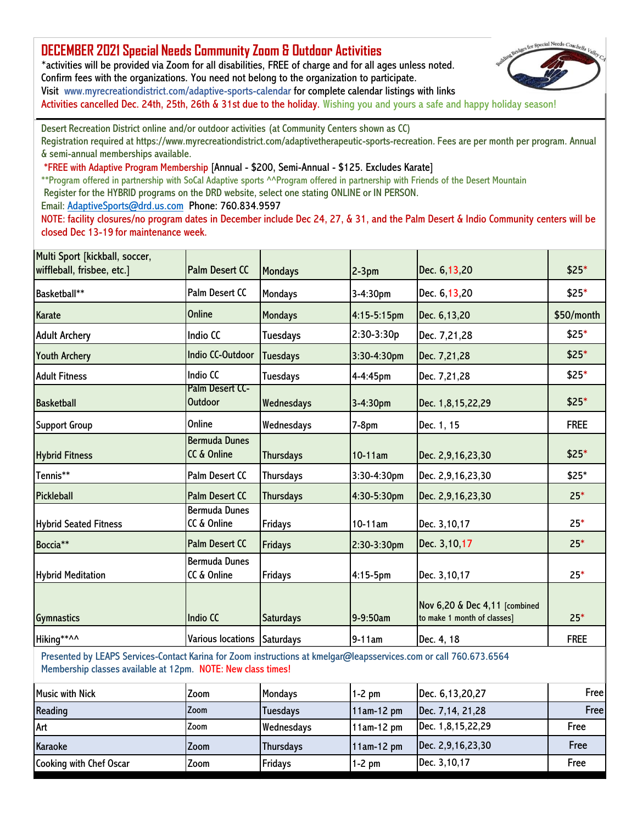## **[DECEMBER 2021 Special Needs Community Zoom & Outdoor Activities](http://www.myrecreationdistrict.com/adaptive-sports-calendar)**

\*activities will be provided via Zoom for all disabilities, FREE of charge and for all ages unless noted. Confirm fees with the organizations. You need not belong to the organization to participate. Visit www.myrecreationdistrict.com/adaptive-sports-calendar for complete calendar listings with links

Activities cancelled Dec. 24th, 25th, 26th & 31st due to the holiday. Wishing you and yours a safe and happy holiday season!

Desert Recreation District online and/or outdoor activities (at Community Centers shown as CC) Registration required at https://www.myrecreationdistrict.com/adaptivetherapeutic-sports-recreation. Fees are per month per program. Annual & semi-annual memberships available.

\*FREE with Adaptive Program Membership [Annual - \$200, Semi-Annual - \$125. Excludes Karate]

\*\*Program offered in partnership with SoCal Adaptive sports ^^Program offered in partnership with Friends of the Desert Mountain

Register for the HYBRID programs on the DRD website, select one stating ONLINE or IN PERSON. Email: AdaptiveSports@drd.us.com Phone: 760.834.9597

NOTE: facility closures/no program dates in December include Dec 24, 27, & 31, and the Palm Desert & Indio Community centers will be closed Dec 13-19 for maintenance week.

| Multi Sport [kickball, soccer,<br>wiffleball, frisbee, etc.]                                                                                                                       | <b>Palm Desert CC</b>               | <b>Mondays</b>   | $2-3pm$     | Dec. 6,13,20                                                 | \$25*       |
|------------------------------------------------------------------------------------------------------------------------------------------------------------------------------------|-------------------------------------|------------------|-------------|--------------------------------------------------------------|-------------|
| Basketball**                                                                                                                                                                       | <b>Palm Desert CC</b>               | Mondays          | 3-4:30pm    | Dec. 6,13,20                                                 | $$25*$      |
| Karate                                                                                                                                                                             | Online                              | <b>Mondays</b>   | 4:15-5:15pm | Dec. 6,13,20                                                 | \$50/month  |
| <b>Adult Archery</b>                                                                                                                                                               | Indio CC                            | <b>Tuesdays</b>  | 2:30-3:30p  | Dec. 7,21,28                                                 | \$25*       |
| <b>Youth Archery</b>                                                                                                                                                               | <b>Indio CC-Outdoor</b>             | Tuesdays         | 3:30-4:30pm | Dec. 7,21,28                                                 | $$25*$      |
| <b>Adult Fitness</b>                                                                                                                                                               | Indio CC                            | Tuesdays         | 4-4:45pm    | Dec. 7,21,28                                                 | $$25*$      |
| <b>Basketball</b>                                                                                                                                                                  | Palm Desert CC-<br><b>Outdoor</b>   | Wednesdays       | 3-4:30pm    | Dec. 1,8,15,22,29                                            | $$25*$      |
| <b>Support Group</b>                                                                                                                                                               | Online                              | Wednesdays       | $7-8pm$     | Dec. 1, 15                                                   | <b>FREE</b> |
| <b>Hybrid Fitness</b>                                                                                                                                                              | <b>Bermuda Dunes</b><br>CC & Online | <b>Thursdays</b> | $10-11am$   | Dec. 2,9,16,23,30                                            | \$25*       |
| Tennis**                                                                                                                                                                           | <b>Palm Desert CC</b>               | Thursdays        | 3:30-4:30pm | Dec. 2,9,16,23,30                                            | $$25*$      |
| <b>Pickleball</b>                                                                                                                                                                  | <b>Palm Desert CC</b>               | <b>Thursdays</b> | 4:30-5:30pm | Dec. 2,9,16,23,30                                            | $25*$       |
| <b>Hybrid Seated Fitness</b>                                                                                                                                                       | <b>Bermuda Dunes</b><br>CC & Online | Fridays          | 10-11am     | Dec. 3,10,17                                                 | $25*$       |
| Boccia**                                                                                                                                                                           | <b>Palm Desert CC</b>               | <b>Fridays</b>   | 2:30-3:30pm | Dec. 3,10,17                                                 | $25*$       |
| <b>Hybrid Meditation</b>                                                                                                                                                           | <b>Bermuda Dunes</b><br>CC & Online | <b>Fridays</b>   | $4:15-5$ pm | Dec. 3,10,17                                                 | $25*$       |
| <b>Gymnastics</b>                                                                                                                                                                  | <b>Indio CC</b>                     | <b>Saturdays</b> | 9-9:50am    | Nov 6,20 & Dec 4,11 [combined<br>to make 1 month of classes] | $25*$       |
| Hiking**^^                                                                                                                                                                         | Various locations Saturdays         |                  | 9-11am      | Dec. 4, 18                                                   | <b>FREE</b> |
| Presented by LEAPS Services-Contact Karina for Zoom instructions at kmelgar@leapsservices.com or call 760.673.6564<br>Membership classes available at 12pm. NOTE: New class times! |                                     |                  |             |                                                              |             |
| <b>Music with Nick</b>                                                                                                                                                             | Zoom                                | <b>Mondays</b>   | $1-2$ pm    | Dec. 6,13,20,27                                              | Free        |
| Reading                                                                                                                                                                            | Zoom                                | <b>Tuesdays</b>  | 11am-12 pm  | Dec. 7, 14, 21, 28                                           | Free        |
| Art                                                                                                                                                                                | Zoom                                | Wednesdays       | 11am-12 pm  | Dec. 1,8,15,22,29                                            | Free        |
| Karaoke                                                                                                                                                                            | Zoom                                | Thursdays        | 11am-12 pm  | Dec. 2,9,16,23,30                                            | Free        |
| Cooking with Chef Oscar                                                                                                                                                            | Zoom                                | <b>Fridays</b>   | $1-2$ pm    | Dec. 3,10,17                                                 | Free        |